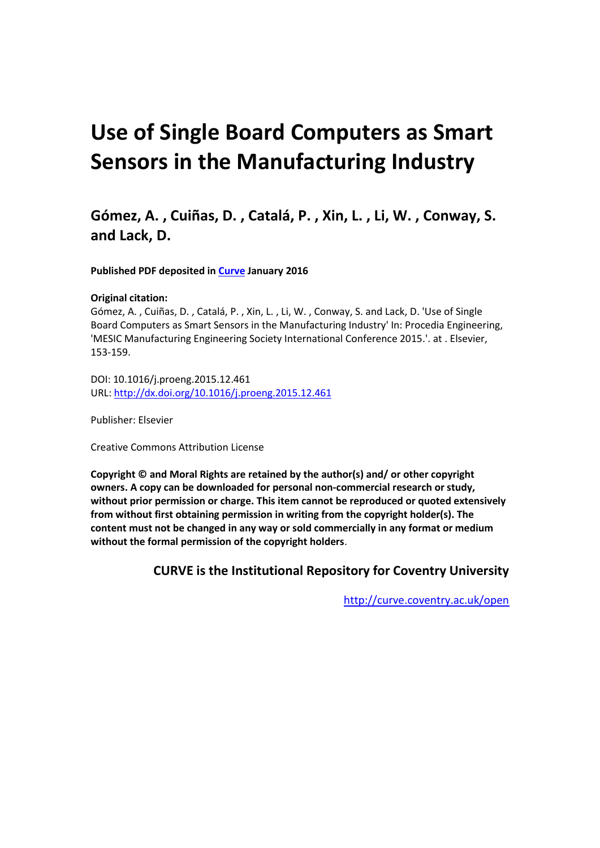# **Use of Single Board Computers as Smart Sensors in the Manufacturing Industry**

**Gómez, A. , Cuiñas, D. , Catalá, P. , Xin, L. , Li, W. , Conway, S. and Lack, D.**

**Published PDF deposited in [Curve](http://curve.coventry.ac.uk/open) January 2016**

### **Original citation:**

Gómez, A. , Cuiñas, D. , Catalá, P. , Xin, L. , Li, W. , Conway, S. and Lack, D. 'Use of Single Board Computers as Smart Sensors in the Manufacturing Industry' In: Procedia Engineering, 'MESIC Manufacturing Engineering Society International Conference 2015.'. at . Elsevier, 153-159.

DOI: 10.1016/j.proeng.2015.12.461 URL:<http://dx.doi.org/10.1016/j.proeng.2015.12.461>

Publisher: Elsevier

Creative Commons Attribution License

**Copyright © and Moral Rights are retained by the author(s) and/ or other copyright owners. A copy can be downloaded for personal non-commercial research or study, without prior permission or charge. This item cannot be reproduced or quoted extensively from without first obtaining permission in writing from the copyright holder(s). The content must not be changed in any way or sold commercially in any format or medium without the formal permission of the copyright holders**.

**CURVE is the Institutional Repository for Coventry University**

<http://curve.coventry.ac.uk/open>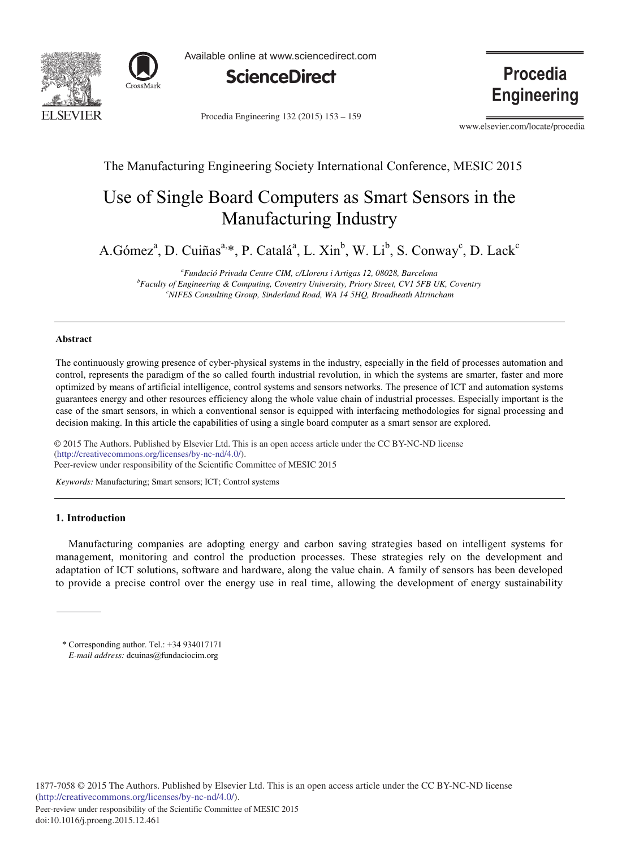



Available online at www.sciencedirect.com



Procedia Engineering 132 (2015) 153 - 159

**Procedia Engineering** 

www.elsevier.com/locate/procedia

## The Manufacturing Engineering Society International Conference, MESIC 2015

# Use of Single Board Computers as Smart Sensors in the Manufacturing Industry

A.Gómez<sup>a</sup>, D. Cuiñas<sup>a,\*</sup>, P. Catalá<sup>a</sup>, L. Xin<sup>b</sup>, W. Li<sup>b</sup>, S. Conway<sup>c</sup>, D. Lack<sup>c</sup>

*a Fundació Privada Centre CIM, c/Llorens i Artigas 12, 08028, Barcelona b Faculty of Engineering & Computing, Coventry University, Priory Street, CV1 5FB UK, Coventry cNIFES Consulting Group, Sinderland Road, WA 14 5HQ, Broadheath Altrincham* 

#### **Abstract**

The continuously growing presence of cyber-physical systems in the industry, especially in the field of processes automation and control, represents the paradigm of the so called fourth industrial revolution, in which the systems are smarter, faster and more optimized by means of artificial intelligence, control systems and sensors networks. The presence of ICT and automation systems guarantees energy and other resources efficiency along the whole value chain of industrial processes. Especially important is the case of the smart sensors, in which a conventional sensor is equipped with interfacing methodologies for signal processing and decision making. In this article the capabilities of using a single board computer as a smart sensor are explored.

© 2016 The Authors. Published by Elsevier Ltd. © 2015 The Authors. Published by Elsevier Ltd. This is an open access article under the CC BY-NC-ND license Peer-review under responsibility of the Scientific Committee of MESIC 2015. Peer-review under responsibility of the Scientific Committee of MESIC 2015(http://creativecommons.org/licenses/by-nc-nd/4.0/).

*Keywords:* Manufacturing; Smart sensors; ICT; Control systems

#### **1. Introduction**

Manufacturing companies are adopting energy and carbon saving strategies based on intelligent systems for management, monitoring and control the production processes. These strategies rely on the development and adaptation of ICT solutions, software and hardware, along the value chain. A family of sensors has been developed to provide a precise control over the energy use in real time, allowing the development of energy sustainability

<sup>\*</sup> Corresponding author. Tel.: +34 934017171 *E-mail address:* dcuinas@fundaciocim.org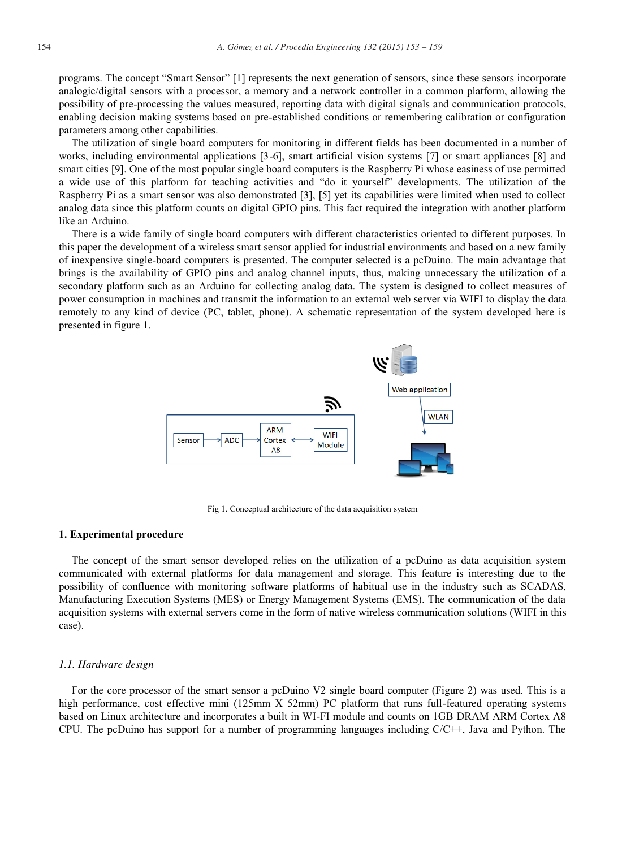programs. The concept "Smart Sensor" [1] represents the next generation of sensors, since these sensors incorporate analogic/digital sensors with a processor, a memory and a network controller in a common platform, allowing the possibility of pre-processing the values measured, reporting data with digital signals and communication protocols, enabling decision making systems based on pre-established conditions or remembering calibration or configuration parameters among other capabilities.

The utilization of single board computers for monitoring in different fields has been documented in a number of works, including environmental applications [3-6], smart artificial vision systems [7] or smart appliances [8] and smart cities [9]. One of the most popular single board computers is the Raspberry Pi whose easiness of use permitted a wide use of this platform for teaching activities and "do it yourself" developments. The utilization of the Raspberry Pi as a smart sensor was also demonstrated [3], [5] yet its capabilities were limited when used to collect analog data since this platform counts on digital GPIO pins. This fact required the integration with another platform like an Arduino.

There is a wide family of single board computers with different characteristics oriented to different purposes. In this paper the development of a wireless smart sensor applied for industrial environments and based on a new family of inexpensive single-board computers is presented. The computer selected is a pcDuino. The main advantage that brings is the availability of GPIO pins and analog channel inputs, thus, making unnecessary the utilization of a secondary platform such as an Arduino for collecting analog data. The system is designed to collect measures of power consumption in machines and transmit the information to an external web server via WIFI to display the data remotely to any kind of device (PC, tablet, phone). A schematic representation of the system developed here is presented in figure 1.



Fig 1. Conceptual architecture of the data acquisition system

#### **1. Experimental procedure**

The concept of the smart sensor developed relies on the utilization of a pcDuino as data acquisition system communicated with external platforms for data management and storage. This feature is interesting due to the possibility of confluence with monitoring software platforms of habitual use in the industry such as SCADAS, Manufacturing Execution Systems (MES) or Energy Management Systems (EMS). The communication of the data acquisition systems with external servers come in the form of native wireless communication solutions (WIFI in this case).

#### *1.1. Hardware design*

For the core processor of the smart sensor a pcDuino V2 single board computer (Figure 2) was used. This is a high performance, cost effective mini (125mm X 52mm) PC platform that runs full-featured operating systems based on Linux architecture and incorporates a built in WI-FI module and counts on 1GB DRAM ARM Cortex A8 CPU. The pcDuino has support for a number of programming languages including  $C/C++$ , Java and Python. The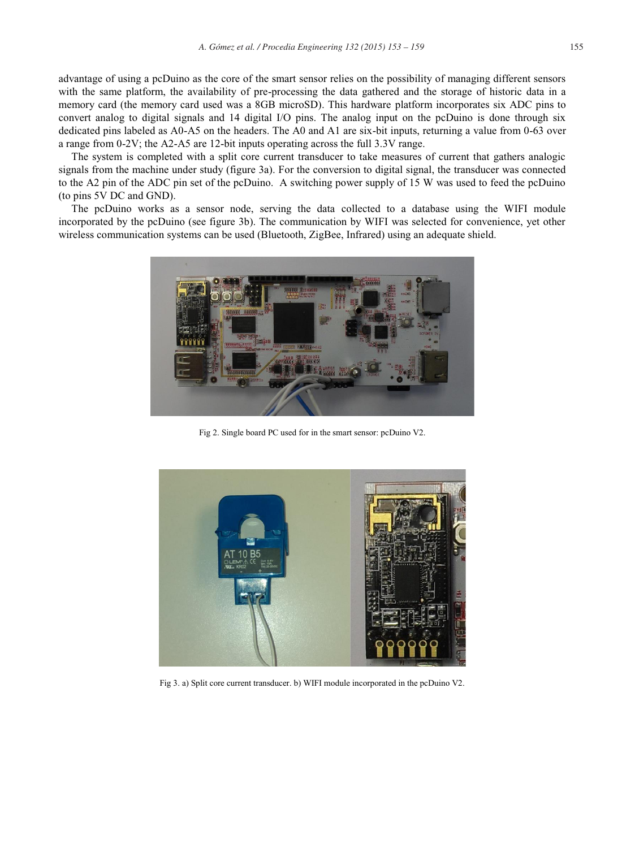advantage of using a pcDuino as the core of the smart sensor relies on the possibility of managing different sensors with the same platform, the availability of pre-processing the data gathered and the storage of historic data in a memory card (the memory card used was a 8GB microSD). This hardware platform incorporates six ADC pins to convert analog to digital signals and 14 digital I/O pins. The analog input on the pcDuino is done through six dedicated pins labeled as A0-A5 on the headers. The A0 and A1 are six-bit inputs, returning a value from 0-63 over a range from 0-2V; the A2-A5 are 12-bit inputs operating across the full 3.3V range.

The system is completed with a split core current transducer to take measures of current that gathers analogic signals from the machine under study (figure 3a). For the conversion to digital signal, the transducer was connected to the A2 pin of the ADC pin set of the pcDuino. A switching power supply of 15 W was used to feed the pcDuino (to pins 5V DC and GND).

The pcDuino works as a sensor node, serving the data collected to a database using the WIFI module incorporated by the pcDuino (see figure 3b). The communication by WIFI was selected for convenience, yet other wireless communication systems can be used (Bluetooth, ZigBee, Infrared) using an adequate shield.



Fig 2. Single board PC used for in the smart sensor: pcDuino V2.



Fig 3. a) Split core current transducer. b) WIFI module incorporated in the pcDuino V2.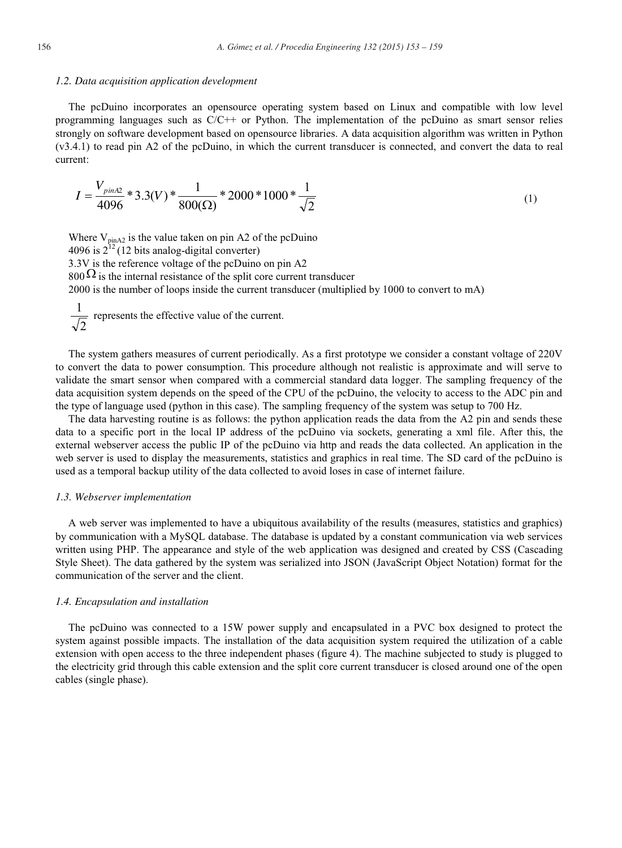#### *1.2. Data acquisition application development*

The pcDuino incorporates an opensource operating system based on Linux and compatible with low level programming languages such as C/C++ or Python. The implementation of the pcDuino as smart sensor relies strongly on software development based on opensource libraries. A data acquisition algorithm was written in Python (v3.4.1) to read pin A2 of the pcDuino, in which the current transducer is connected, and convert the data to real current:

$$
I = \frac{V_{pinA2}}{4096} * 3.3(V) * \frac{1}{800(\Omega)} * 2000 * 1000 * \frac{1}{\sqrt{2}}
$$
(1)

Where  $V_{pinA2}$  is the value taken on pin A2 of the pcDuino 4096 is  $2^{12}$  (12 bits analog-digital converter) 3.3V is the reference voltage of the pcDuino on pin A2  $800\Omega$  is the internal resistance of the split core current transducer 2000 is the number of loops inside the current transducer (multiplied by 1000 to convert to mA)

2  $\frac{1}{\sqrt{2}}$  represents the effective value of the current.

The system gathers measures of current periodically. As a first prototype we consider a constant voltage of 220V to convert the data to power consumption. This procedure although not realistic is approximate and will serve to validate the smart sensor when compared with a commercial standard data logger. The sampling frequency of the data acquisition system depends on the speed of the CPU of the pcDuino, the velocity to access to the ADC pin and the type of language used (python in this case). The sampling frequency of the system was setup to 700 Hz.

The data harvesting routine is as follows: the python application reads the data from the A2 pin and sends these data to a specific port in the local IP address of the pcDuino via sockets, generating a xml file. After this, the external webserver access the public IP of the pcDuino via http and reads the data collected. An application in the web server is used to display the measurements, statistics and graphics in real time. The SD card of the pcDuino is used as a temporal backup utility of the data collected to avoid loses in case of internet failure.

#### *1.3. Webserver implementation*

A web server was implemented to have a ubiquitous availability of the results (measures, statistics and graphics) by communication with a MySQL database. The database is updated by a constant communication via web services written using PHP. The appearance and style of the web application was designed and created by CSS (Cascading Style Sheet). The data gathered by the system was serialized into JSON (JavaScript Object Notation) format for the communication of the server and the client.

#### *1.4. Encapsulation and installation*

The pcDuino was connected to a 15W power supply and encapsulated in a PVC box designed to protect the system against possible impacts. The installation of the data acquisition system required the utilization of a cable extension with open access to the three independent phases (figure 4). The machine subjected to study is plugged to the electricity grid through this cable extension and the split core current transducer is closed around one of the open cables (single phase).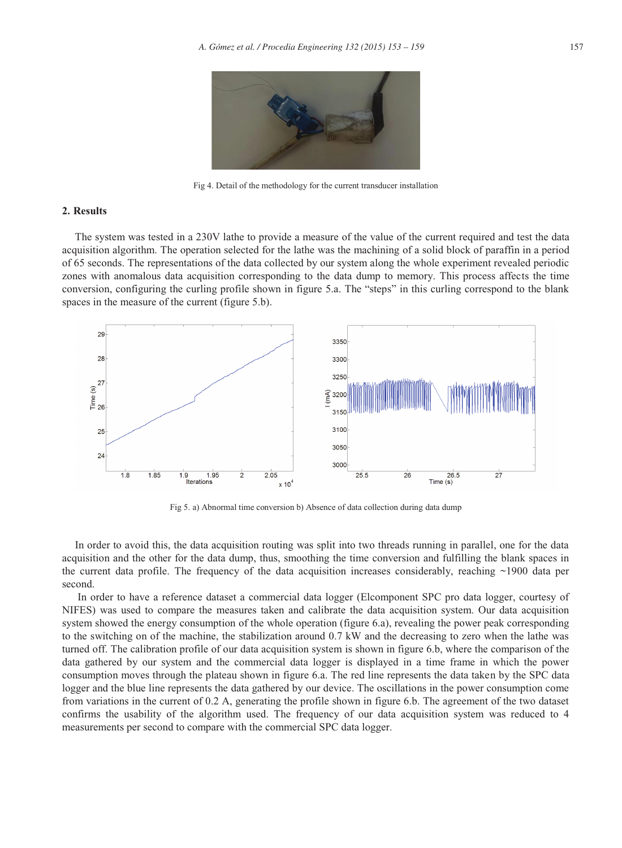

Fig 4. Detail of the methodology for the current transducer installation

#### **2. Results**

The system was tested in a 230V lathe to provide a measure of the value of the current required and test the data acquisition algorithm. The operation selected for the lathe was the machining of a solid block of paraffin in a period of 65 seconds. The representations of the data collected by our system along the whole experiment revealed periodic zones with anomalous data acquisition corresponding to the data dump to memory. This process affects the time conversion, configuring the curling profile shown in figure 5.a. The "steps" in this curling correspond to the blank spaces in the measure of the current (figure 5.b).



Fig 5. a) Abnormal time conversion b) Absence of data collection during data dump

In order to avoid this, the data acquisition routing was split into two threads running in parallel, one for the data acquisition and the other for the data dump, thus, smoothing the time conversion and fulfilling the blank spaces in the current data profile. The frequency of the data acquisition increases considerably, reaching ~1900 data per second.

 In order to have a reference dataset a commercial data logger (Elcomponent SPC pro data logger, courtesy of NIFES) was used to compare the measures taken and calibrate the data acquisition system. Our data acquisition system showed the energy consumption of the whole operation (figure 6.a), revealing the power peak corresponding to the switching on of the machine, the stabilization around 0.7 kW and the decreasing to zero when the lathe was turned off. The calibration profile of our data acquisition system is shown in figure 6.b, where the comparison of the data gathered by our system and the commercial data logger is displayed in a time frame in which the power consumption moves through the plateau shown in figure 6.a. The red line represents the data taken by the SPC data logger and the blue line represents the data gathered by our device. The oscillations in the power consumption come from variations in the current of 0.2 A, generating the profile shown in figure 6.b. The agreement of the two dataset confirms the usability of the algorithm used. The frequency of our data acquisition system was reduced to 4 measurements per second to compare with the commercial SPC data logger.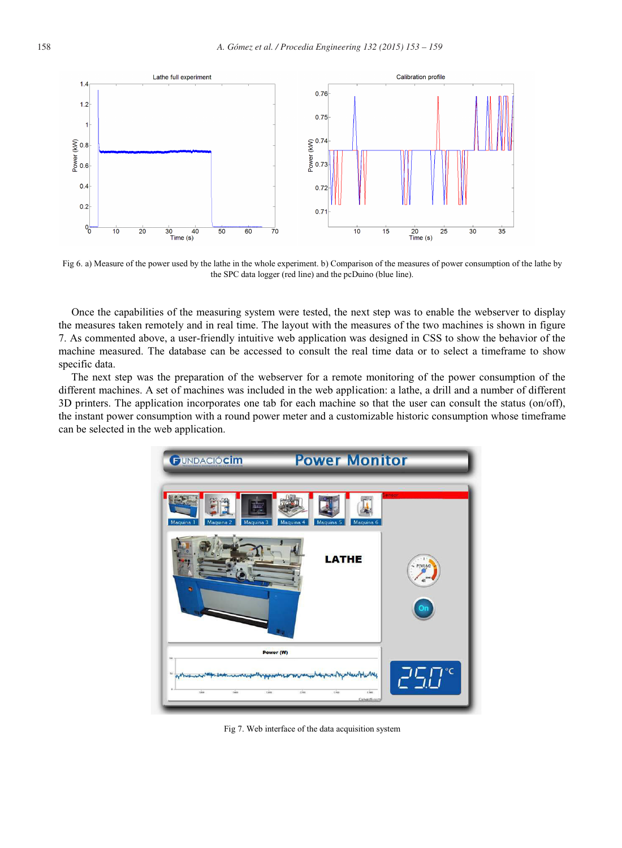

Fig 6. a) Measure of the power used by the lathe in the whole experiment. b) Comparison of the measures of power consumption of the lathe by the SPC data logger (red line) and the pcDuino (blue line).

Once the capabilities of the measuring system were tested, the next step was to enable the webserver to display the measures taken remotely and in real time. The layout with the measures of the two machines is shown in figure 7. As commented above, a user-friendly intuitive web application was designed in CSS to show the behavior of the machine measured. The database can be accessed to consult the real time data or to select a timeframe to show specific data.

The next step was the preparation of the webserver for a remote monitoring of the power consumption of the different machines. A set of machines was included in the web application: a lathe, a drill and a number of different 3D printers. The application incorporates one tab for each machine so that the user can consult the status (on/off), the instant power consumption with a round power meter and a customizable historic consumption whose timeframe can be selected in the web application.



Fig 7. Web interface of the data acquisition system